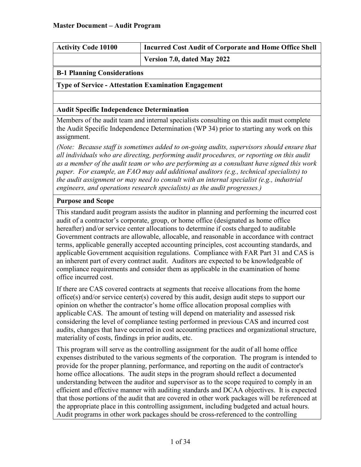| <b>Activity Code 10100</b> | <b>Incurred Cost Audit of Corporate and Home Office Shell</b> |
|----------------------------|---------------------------------------------------------------|
|                            | Version 7.0, dated May 2022                                   |
|                            |                                                               |

### **B-1 Planning Considerations**

#### **Type of Service - Attestation Examination Engagement**

#### **Audit Specific Independence Determination**

Members of the audit team and internal specialists consulting on this audit must complete the Audit Specific Independence Determination (WP 34) prior to starting any work on this assignment.

*(Note: Because staff is sometimes added to on-going audits, supervisors should ensure that all individuals who are directing, performing audit procedures, or reporting on this audit as a member of the audit team or who are performing as a consultant have signed this work paper. For example, an FAO may add additional auditors (e.g., technical specialists) to the audit assignment or may need to consult with an internal specialist (e.g., industrial engineers, and operations research specialists) as the audit progresses.)*

#### **Purpose and Scope**

This standard audit program assists the auditor in planning and performing the incurred cost audit of a contractor's corporate, group, or home office (designated as home office hereafter) and/or service center allocations to determine if costs charged to auditable Government contracts are allowable, allocable, and reasonable in accordance with contract terms, applicable generally accepted accounting principles, cost accounting standards, and applicable Government acquisition regulations. Compliance with FAR Part 31 and CAS is an inherent part of every contract audit. Auditors are expected to be knowledgeable of compliance requirements and consider them as applicable in the examination of home office incurred cost.

If there are CAS covered contracts at segments that receive allocations from the home office(s) and/or service center(s) covered by this audit, design audit steps to support our opinion on whether the contractor's home office allocation proposal complies with applicable CAS. The amount of testing will depend on materiality and assessed risk considering the level of compliance testing performed in previous CAS and incurred cost audits, changes that have occurred in cost accounting practices and organizational structure, materiality of costs, findings in prior audits, etc.

This program will serve as the controlling assignment for the audit of all home office expenses distributed to the various segments of the corporation. The program is intended to provide for the proper planning, performance, and reporting on the audit of contractor's home office allocations. The audit steps in the program should reflect a documented understanding between the auditor and supervisor as to the scope required to comply in an efficient and effective manner with auditing standards and DCAA objectives. It is expected that those portions of the audit that are covered in other work packages will be referenced at the appropriate place in this controlling assignment, including budgeted and actual hours. Audit programs in other work packages should be cross-referenced to the controlling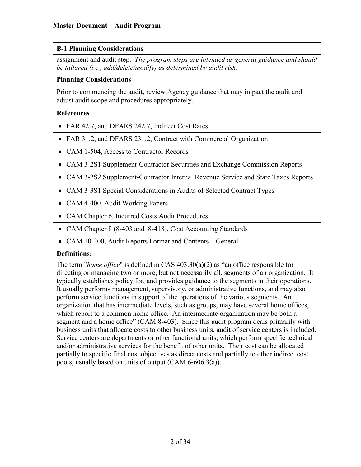## **B-1 Planning Considerations**

assignment and audit step. *The program steps are intended as general guidance and should be tailored (i.e., add/delete/modify) as determined by audit risk.*

#### **Planning Considerations**

Prior to commencing the audit, review Agency guidance that may impact the audit and adjust audit scope and procedures appropriately.

#### **References**

- FAR 42.7, and DFARS 242.7, Indirect Cost Rates
- FAR 31.2, and DFARS 231.2, Contract with Commercial Organization
- CAM 1-504, Access to Contractor Records
- CAM 3-2S1 Supplement-Contractor Securities and Exchange Commission Reports
- CAM 3-2S2 Supplement-Contractor Internal Revenue Service and State Taxes Reports
- CAM 3-3S1 Special Considerations in Audits of Selected Contract Types
- CAM 4-400, Audit Working Papers
- CAM Chapter 6, Incurred Costs Audit Procedures
- CAM Chapter 8 (8-403 and 8-418), Cost Accounting Standards
- CAM 10-200, Audit Reports Format and Contents General

### **Definitions:**

The term "*home office*" is defined in CAS 403.30(a)(2) as "an office responsible for directing or managing two or more, but not necessarily all, segments of an organization. It typically establishes policy for, and provides guidance to the segments in their operations. It usually performs management, supervisory, or administrative functions, and may also perform service functions in support of the operations of the various segments. An organization that has intermediate levels, such as groups, may have several home offices, which report to a common home office. An intermediate organization may be both a segment and a home office" (CAM 8-403). Since this audit program deals primarily with business units that allocate costs to other business units, audit of service centers is included. Service centers are departments or other functional units, which perform specific technical and/or administrative services for the benefit of other units. Their cost can be allocated partially to specific final cost objectives as direct costs and partially to other indirect cost pools, usually based on units of output (CAM 6-606.3(a)).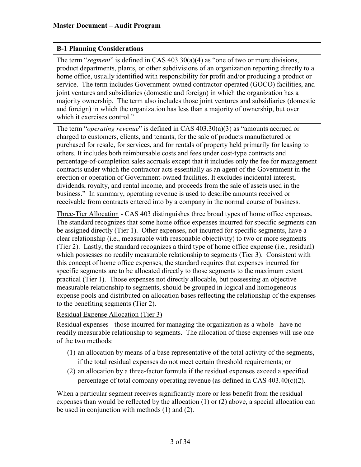## **B-1 Planning Considerations**

The term "*segment*" is defined in CAS 403.30(a)(4) as "one of two or more divisions, product departments, plants, or other subdivisions of an organization reporting directly to a home office, usually identified with responsibility for profit and/or producing a product or service. The term includes Government-owned contractor-operated (GOCO) facilities, and joint ventures and subsidiaries (domestic and foreign) in which the organization has a majority ownership. The term also includes those joint ventures and subsidiaries (domestic and foreign) in which the organization has less than a majority of ownership, but over which it exercises control."

The term "*operating revenue*" is defined in CAS 403.30(a)(3) as "amounts accrued or charged to customers, clients, and tenants, for the sale of products manufactured or purchased for resale, for services, and for rentals of property held primarily for leasing to others. It includes both reimbursable costs and fees under cost-type contracts and percentage-of-completion sales accruals except that it includes only the fee for management contracts under which the contractor acts essentially as an agent of the Government in the erection or operation of Government-owned facilities. It excludes incidental interest, dividends, royalty, and rental income, and proceeds from the sale of assets used in the business." In summary, operating revenue is used to describe amounts received or receivable from contracts entered into by a company in the normal course of business.

Three-Tier Allocation - CAS 403 distinguishes three broad types of home office expenses. The standard recognizes that some home office expenses incurred for specific segments can be assigned directly (Tier 1). Other expenses, not incurred for specific segments, have a clear relationship (i.e., measurable with reasonable objectivity) to two or more segments (Tier 2). Lastly, the standard recognizes a third type of home office expense (i.e., residual) which possesses no readily measurable relationship to segments (Tier 3). Consistent with this concept of home office expenses, the standard requires that expenses incurred for specific segments are to be allocated directly to those segments to the maximum extent practical (Tier 1). Those expenses not directly allocable, but possessing an objective measurable relationship to segments, should be grouped in logical and homogeneous expense pools and distributed on allocation bases reflecting the relationship of the expenses to the benefiting segments (Tier 2).

Residual Expense Allocation (Tier 3)

Residual expenses - those incurred for managing the organization as a whole - have no readily measurable relationship to segments. The allocation of these expenses will use one of the two methods:

- (1) an allocation by means of a base representative of the total activity of the segments, if the total residual expenses do not meet certain threshold requirements; or
- (2) an allocation by a three-factor formula if the residual expenses exceed a specified percentage of total company operating revenue (as defined in CAS  $403.40(c)(2)$ .

When a particular segment receives significantly more or less benefit from the residual expenses than would be reflected by the allocation (1) or (2) above, a special allocation can be used in conjunction with methods (1) and (2).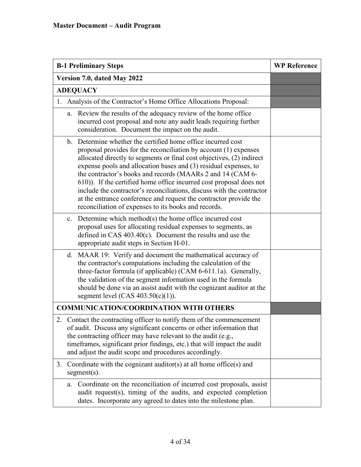| <b>B-1 Preliminary Steps</b>                                                                                                                                                                                                                                                                                                                                                                                                                                                                                                                                                                                             | <b>WP Reference</b> |
|--------------------------------------------------------------------------------------------------------------------------------------------------------------------------------------------------------------------------------------------------------------------------------------------------------------------------------------------------------------------------------------------------------------------------------------------------------------------------------------------------------------------------------------------------------------------------------------------------------------------------|---------------------|
| Version 7.0, dated May 2022                                                                                                                                                                                                                                                                                                                                                                                                                                                                                                                                                                                              |                     |
| <b>ADEQUACY</b>                                                                                                                                                                                                                                                                                                                                                                                                                                                                                                                                                                                                          |                     |
| Analysis of the Contractor's Home Office Allocations Proposal:<br>1.                                                                                                                                                                                                                                                                                                                                                                                                                                                                                                                                                     |                     |
| a. Review the results of the adequacy review of the home office<br>incurred cost proposal and note any audit leads requiring further<br>consideration. Document the impact on the audit.                                                                                                                                                                                                                                                                                                                                                                                                                                 |                     |
| b. Determine whether the certified home office incurred cost<br>proposal provides for the reconciliation by account (1) expenses<br>allocated directly to segments or final cost objectives, (2) indirect<br>expense pools and allocation bases and (3) residual expenses, to<br>the contractor's books and records (MAARs 2 and 14 (CAM 6-<br>610)). If the certified home office incurred cost proposal does not<br>include the contractor's reconciliations, discuss with the contractor<br>at the entrance conference and request the contractor provide the<br>reconciliation of expenses to its books and records. |                     |
| c. Determine which method(s) the home office incurred cost<br>proposal uses for allocating residual expenses to segments, as<br>defined in CAS $403.40(c)$ . Document the results and use the<br>appropriate audit steps in Section H-01.                                                                                                                                                                                                                                                                                                                                                                                |                     |
| d. MAAR 19: Verify and document the mathematical accuracy of<br>the contractor's computations including the calculation of the<br>three-factor formula (if applicable) (CAM 6-611.1a). Generally,<br>the validation of the segment information used in the formula<br>should be done via an assist audit with the cognizant auditor at the<br>segment level $(CAS 403.50(c)(1))$ .                                                                                                                                                                                                                                       |                     |
| <b>COMMUNICATION/COORDINATION WITH OTHERS</b>                                                                                                                                                                                                                                                                                                                                                                                                                                                                                                                                                                            |                     |
| 2. Contact the contracting officer to notify them of the commencement<br>of audit. Discuss any significant concerns or other information that<br>the contracting officer may have relevant to the audit (e.g.,<br>timeframes, significant prior findings, etc.) that will impact the audit<br>and adjust the audit scope and procedures accordingly.                                                                                                                                                                                                                                                                     |                     |
| Coordinate with the cognizant auditor(s) at all home office(s) and<br>3.<br>$segment(s)$ .                                                                                                                                                                                                                                                                                                                                                                                                                                                                                                                               |                     |
| Coordinate on the reconciliation of incurred cost proposals, assist<br>a.<br>audit request(s), timing of the audits, and expected completion<br>dates. Incorporate any agreed to dates into the milestone plan.                                                                                                                                                                                                                                                                                                                                                                                                          |                     |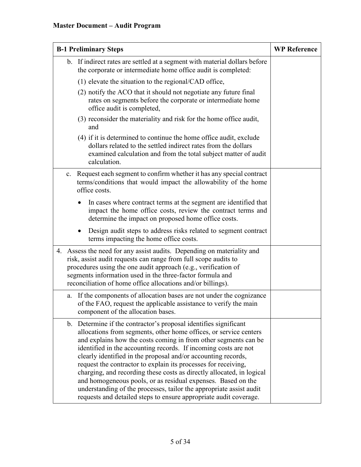| <b>B-1 Preliminary Steps</b>                                                                                                                                                                                                                                                                                                                                                                                                                                                                                                                                                                                                                                                                        | <b>WP Reference</b> |
|-----------------------------------------------------------------------------------------------------------------------------------------------------------------------------------------------------------------------------------------------------------------------------------------------------------------------------------------------------------------------------------------------------------------------------------------------------------------------------------------------------------------------------------------------------------------------------------------------------------------------------------------------------------------------------------------------------|---------------------|
| b. If indirect rates are settled at a segment with material dollars before<br>the corporate or intermediate home office audit is completed:                                                                                                                                                                                                                                                                                                                                                                                                                                                                                                                                                         |                     |
| $(1)$ elevate the situation to the regional/CAD office,                                                                                                                                                                                                                                                                                                                                                                                                                                                                                                                                                                                                                                             |                     |
| (2) notify the ACO that it should not negotiate any future final<br>rates on segments before the corporate or intermediate home<br>office audit is completed,                                                                                                                                                                                                                                                                                                                                                                                                                                                                                                                                       |                     |
| (3) reconsider the materiality and risk for the home office audit,<br>and                                                                                                                                                                                                                                                                                                                                                                                                                                                                                                                                                                                                                           |                     |
| (4) if it is determined to continue the home office audit, exclude<br>dollars related to the settled indirect rates from the dollars<br>examined calculation and from the total subject matter of audit<br>calculation.                                                                                                                                                                                                                                                                                                                                                                                                                                                                             |                     |
| Request each segment to confirm whether it has any special contract<br>c.<br>terms/conditions that would impact the allowability of the home<br>office costs.                                                                                                                                                                                                                                                                                                                                                                                                                                                                                                                                       |                     |
| In cases where contract terms at the segment are identified that<br>$\bullet$<br>impact the home office costs, review the contract terms and<br>determine the impact on proposed home office costs.                                                                                                                                                                                                                                                                                                                                                                                                                                                                                                 |                     |
| Design audit steps to address risks related to segment contract<br>$\bullet$<br>terms impacting the home office costs.                                                                                                                                                                                                                                                                                                                                                                                                                                                                                                                                                                              |                     |
| 4. Assess the need for any assist audits. Depending on materiality and<br>risk, assist audit requests can range from full scope audits to<br>procedures using the one audit approach (e.g., verification of<br>segments information used in the three-factor formula and<br>reconciliation of home office allocations and/or billings).                                                                                                                                                                                                                                                                                                                                                             |                     |
| a. If the components of allocation bases are not under the cognizance<br>of the FAO, request the applicable assistance to verify the main<br>component of the allocation bases.                                                                                                                                                                                                                                                                                                                                                                                                                                                                                                                     |                     |
| b. Determine if the contractor's proposal identifies significant<br>allocations from segments, other home offices, or service centers<br>and explains how the costs coming in from other segments can be<br>identified in the accounting records. If incoming costs are not<br>clearly identified in the proposal and/or accounting records,<br>request the contractor to explain its processes for receiving,<br>charging, and recording these costs as directly allocated, in logical<br>and homogeneous pools, or as residual expenses. Based on the<br>understanding of the processes, tailor the appropriate assist audit<br>requests and detailed steps to ensure appropriate audit coverage. |                     |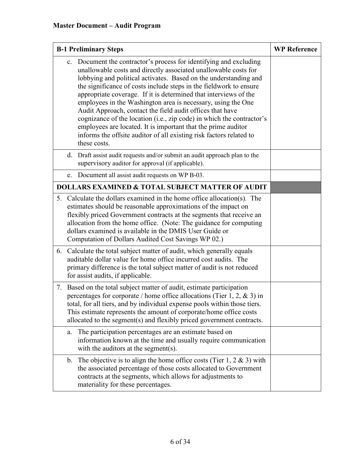| <b>B-1 Preliminary Steps</b>                                                                                                                                                                                                                                                                                                                                                                                                                                                                                                                                                                                                                                                                                      | <b>WP Reference</b> |
|-------------------------------------------------------------------------------------------------------------------------------------------------------------------------------------------------------------------------------------------------------------------------------------------------------------------------------------------------------------------------------------------------------------------------------------------------------------------------------------------------------------------------------------------------------------------------------------------------------------------------------------------------------------------------------------------------------------------|---------------------|
| c. Document the contractor's process for identifying and excluding<br>unallowable costs and directly associated unallowable costs for<br>lobbying and political activates. Based on the understanding and<br>the significance of costs include steps in the fieldwork to ensure<br>appropriate coverage. If it is determined that interviews of the<br>employees in the Washington area is necessary, using the One<br>Audit Approach, contact the field audit offices that have<br>cognizance of the location (i.e., zip code) in which the contractor's<br>employees are located. It is important that the prime auditor<br>informs the offsite auditor of all existing risk factors related to<br>these costs. |                     |
| d. Draft assist audit requests and/or submit an audit approach plan to the<br>supervisory auditor for approval (if applicable).                                                                                                                                                                                                                                                                                                                                                                                                                                                                                                                                                                                   |                     |
| Document all assist audit requests on WP B-03.<br>e.                                                                                                                                                                                                                                                                                                                                                                                                                                                                                                                                                                                                                                                              |                     |
| <b>DOLLARS EXAMINED &amp; TOTAL SUBJECT MATTER OF AUDIT</b>                                                                                                                                                                                                                                                                                                                                                                                                                                                                                                                                                                                                                                                       |                     |
| 5. Calculate the dollars examined in the home office allocation(s). The<br>estimates should be reasonable approximations of the impact on<br>flexibly priced Government contracts at the segments that receive an<br>allocation from the home office. (Note: The guidance for computing<br>dollars examined is available in the DMIS User Guide or<br>Computation of Dollars Audited Cost Savings WP 02.)                                                                                                                                                                                                                                                                                                         |                     |
| 6. Calculate the total subject matter of audit, which generally equals<br>auditable dollar value for home office incurred cost audits. The<br>primary difference is the total subject matter of audit is not reduced<br>for assist audits, if applicable.                                                                                                                                                                                                                                                                                                                                                                                                                                                         |                     |
| Based on the total subject matter of audit, estimate participation<br>7.<br>percentages for corporate / home office allocations (Tier 1, 2, & 3) in<br>total, for all tiers, and by individual expense pools within those tiers.<br>This estimate represents the amount of corporate/home office costs<br>allocated to the segment(s) and flexibly priced government contracts.                                                                                                                                                                                                                                                                                                                                   |                     |
| The participation percentages are an estimate based on<br>a.<br>information known at the time and usually require communication<br>with the auditors at the segment(s).                                                                                                                                                                                                                                                                                                                                                                                                                                                                                                                                           |                     |
| The objective is to align the home office costs (Tier 1, 2 $\&$ 3) with<br>b.<br>the associated percentage of those costs allocated to Government<br>contracts at the segments, which allows for adjustments to<br>materiality for these percentages.                                                                                                                                                                                                                                                                                                                                                                                                                                                             |                     |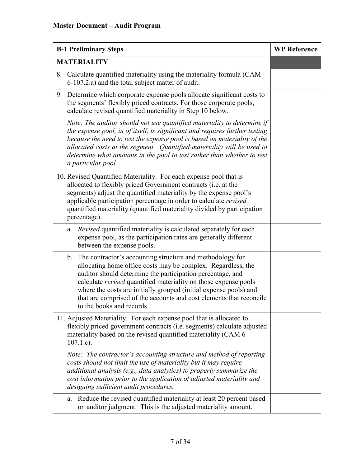| <b>B-1 Preliminary Steps</b> |                                                                                                                                                                                                                                                                                                                                                                                                                                                             | <b>WP Reference</b> |
|------------------------------|-------------------------------------------------------------------------------------------------------------------------------------------------------------------------------------------------------------------------------------------------------------------------------------------------------------------------------------------------------------------------------------------------------------------------------------------------------------|---------------------|
|                              | <b>MATERIALITY</b>                                                                                                                                                                                                                                                                                                                                                                                                                                          |                     |
| 8.                           | Calculate quantified materiality using the materiality formula (CAM<br>6-107.2.a) and the total subject matter of audit.                                                                                                                                                                                                                                                                                                                                    |                     |
| 9.                           | Determine which corporate expense pools allocate significant costs to<br>the segments' flexibly priced contracts. For those corporate pools,<br>calculate revised quantified materiality in Step 10 below.                                                                                                                                                                                                                                                  |                     |
|                              | Note: The auditor should not use quantified materiality to determine if<br>the expense pool, in of itself, is significant and requires further testing<br>because the need to test the expense pool is based on materiality of the<br>allocated costs at the segment. Quantified materiality will be used to<br>determine what amounts in the pool to test rather than whether to test<br>a particular pool.                                                |                     |
|                              | 10. Revised Quantified Materiality. For each expense pool that is<br>allocated to flexibly priced Government contracts (i.e. at the<br>segments) adjust the quantified materiality by the expense pool's<br>applicable participation percentage in order to calculate revised<br>quantified materiality (quantified materiality divided by participation<br>percentage).                                                                                    |                     |
|                              | Revised quantified materiality is calculated separately for each<br>a.<br>expense pool, as the participation rates are generally different<br>between the expense pools.                                                                                                                                                                                                                                                                                    |                     |
|                              | The contractor's accounting structure and methodology for<br>$\mathbf b$ .<br>allocating home office costs may be complex. Regardless, the<br>auditor should determine the participation percentage, and<br>calculate <i>revised</i> quantified materiality on those expense pools<br>where the costs are initially grouped (initial expense pools) and<br>that are comprised of the accounts and cost elements that reconcile<br>to the books and records. |                     |
|                              | 11. Adjusted Materiality. For each expense pool that is allocated to<br>flexibly priced government contracts (i.e. segments) calculate adjusted<br>materiality based on the revised quantified materiality (CAM 6-<br>$107.1.c$ ).                                                                                                                                                                                                                          |                     |
|                              | Note: The contractor's accounting structure and method of reporting<br>costs should not limit the use of materiality but it may require<br>additional analysis (e.g., data analytics) to properly summarize the<br>cost information prior to the application of adjusted materiality and<br>designing sufficient audit procedures.                                                                                                                          |                     |
|                              | Reduce the revised quantified materiality at least 20 percent based<br>a.<br>on auditor judgment. This is the adjusted materiality amount.                                                                                                                                                                                                                                                                                                                  |                     |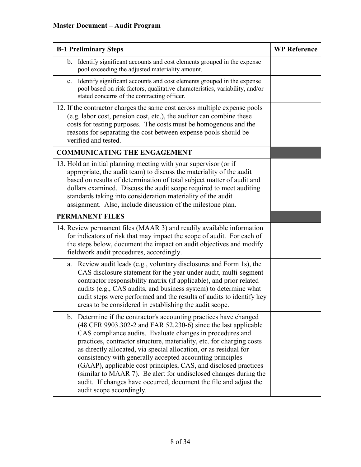| <b>B-1 Preliminary Steps</b>                                                                                                                                                                                                                                                                                                                                                                                                                                                                                                                                                                                                                          | <b>WP Reference</b> |
|-------------------------------------------------------------------------------------------------------------------------------------------------------------------------------------------------------------------------------------------------------------------------------------------------------------------------------------------------------------------------------------------------------------------------------------------------------------------------------------------------------------------------------------------------------------------------------------------------------------------------------------------------------|---------------------|
| b. Identify significant accounts and cost elements grouped in the expense<br>pool exceeding the adjusted materiality amount.                                                                                                                                                                                                                                                                                                                                                                                                                                                                                                                          |                     |
| c. Identify significant accounts and cost elements grouped in the expense<br>pool based on risk factors, qualitative characteristics, variability, and/or<br>stated concerns of the contracting officer.                                                                                                                                                                                                                                                                                                                                                                                                                                              |                     |
| 12. If the contractor charges the same cost across multiple expense pools<br>(e.g. labor cost, pension cost, etc.), the auditor can combine these<br>costs for testing purposes. The costs must be homogenous and the<br>reasons for separating the cost between expense pools should be<br>verified and tested.                                                                                                                                                                                                                                                                                                                                      |                     |
| <b>COMMUNICATING THE ENGAGEMENT</b>                                                                                                                                                                                                                                                                                                                                                                                                                                                                                                                                                                                                                   |                     |
| 13. Hold an initial planning meeting with your supervisor (or if<br>appropriate, the audit team) to discuss the materiality of the audit<br>based on results of determination of total subject matter of audit and<br>dollars examined. Discuss the audit scope required to meet auditing<br>standards taking into consideration materiality of the audit<br>assignment. Also, include discussion of the milestone plan.                                                                                                                                                                                                                              |                     |
| <b>PERMANENT FILES</b>                                                                                                                                                                                                                                                                                                                                                                                                                                                                                                                                                                                                                                |                     |
| 14. Review permanent files (MAAR 3) and readily available information<br>for indicators of risk that may impact the scope of audit. For each of<br>the steps below, document the impact on audit objectives and modify<br>fieldwork audit procedures, accordingly.                                                                                                                                                                                                                                                                                                                                                                                    |                     |
| Review audit leads (e.g., voluntary disclosures and Form 1s), the<br>a.<br>CAS disclosure statement for the year under audit, multi-segment<br>contractor responsibility matrix (if applicable), and prior related<br>audits (e.g., CAS audits, and business system) to determine what<br>audit steps were performed and the results of audits to identify key<br>areas to be considered in establishing the audit scope.                                                                                                                                                                                                                             |                     |
| b. Determine if the contractor's accounting practices have changed<br>(48 CFR 9903.302-2 and FAR 52.230-6) since the last applicable<br>CAS compliance audits. Evaluate changes in procedures and<br>practices, contractor structure, materiality, etc. for charging costs<br>as directly allocated, via special allocation, or as residual for<br>consistency with generally accepted accounting principles<br>(GAAP), applicable cost principles, CAS, and disclosed practices<br>(similar to MAAR 7). Be alert for undisclosed changes during the<br>audit. If changes have occurred, document the file and adjust the<br>audit scope accordingly. |                     |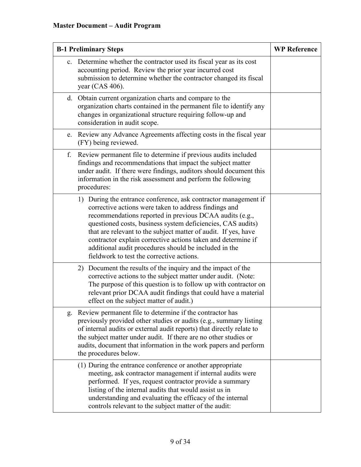| <b>B-1 Preliminary Steps</b> |                                                                                                                                                                                                                                                                                                                                                                                                                                                                                            | <b>WP Reference</b> |
|------------------------------|--------------------------------------------------------------------------------------------------------------------------------------------------------------------------------------------------------------------------------------------------------------------------------------------------------------------------------------------------------------------------------------------------------------------------------------------------------------------------------------------|---------------------|
|                              | c. Determine whether the contractor used its fiscal year as its cost<br>accounting period. Review the prior year incurred cost<br>submission to determine whether the contractor changed its fiscal<br>year (CAS 406).                                                                                                                                                                                                                                                                     |                     |
|                              | d. Obtain current organization charts and compare to the<br>organization charts contained in the permanent file to identify any<br>changes in organizational structure requiring follow-up and<br>consideration in audit scope.                                                                                                                                                                                                                                                            |                     |
|                              | e. Review any Advance Agreements affecting costs in the fiscal year<br>(FY) being reviewed.                                                                                                                                                                                                                                                                                                                                                                                                |                     |
| f.                           | Review permanent file to determine if previous audits included<br>findings and recommendations that impact the subject matter<br>under audit. If there were findings, auditors should document this<br>information in the risk assessment and perform the following<br>procedures:                                                                                                                                                                                                         |                     |
|                              | 1) During the entrance conference, ask contractor management if<br>corrective actions were taken to address findings and<br>recommendations reported in previous DCAA audits (e.g.,<br>questioned costs, business system deficiencies, CAS audits)<br>that are relevant to the subject matter of audit. If yes, have<br>contractor explain corrective actions taken and determine if<br>additional audit procedures should be included in the<br>fieldwork to test the corrective actions. |                     |
|                              | 2) Document the results of the inquiry and the impact of the<br>corrective actions to the subject matter under audit. (Note:<br>The purpose of this question is to follow up with contractor on<br>relevant prior DCAA audit findings that could have a material<br>effect on the subject matter of audit.)                                                                                                                                                                                |                     |
| g.                           | Review permanent file to determine if the contractor has<br>previously provided other studies or audits (e.g., summary listing<br>of internal audits or external audit reports) that directly relate to<br>the subject matter under audit. If there are no other studies or<br>audits, document that information in the work papers and perform<br>the procedures below.                                                                                                                   |                     |
|                              | (1) During the entrance conference or another appropriate<br>meeting, ask contractor management if internal audits were<br>performed. If yes, request contractor provide a summary<br>listing of the internal audits that would assist us in<br>understanding and evaluating the efficacy of the internal<br>controls relevant to the subject matter of the audit:                                                                                                                         |                     |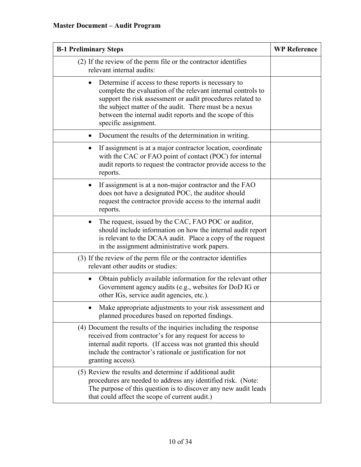| <b>B-1 Preliminary Steps</b>                                                                                                                                                                                                                                                                                                     | <b>WP Reference</b> |
|----------------------------------------------------------------------------------------------------------------------------------------------------------------------------------------------------------------------------------------------------------------------------------------------------------------------------------|---------------------|
| (2) If the review of the perm file or the contractor identifies<br>relevant internal audits:                                                                                                                                                                                                                                     |                     |
| Determine if access to these reports is necessary to<br>complete the evaluation of the relevant internal controls to<br>support the risk assessment or audit procedures related to<br>the subject matter of the audit. There must be a nexus<br>between the internal audit reports and the scope of this<br>specific assignment. |                     |
| Document the results of the determination in writing.                                                                                                                                                                                                                                                                            |                     |
| If assignment is at a major contractor location, coordinate<br>with the CAC or FAO point of contact (POC) for internal<br>audit reports to request the contractor provide access to the<br>reports.                                                                                                                              |                     |
| If assignment is at a non-major contractor and the FAO<br>$\bullet$<br>does not have a designated POC, the auditor should<br>request the contractor provide access to the internal audit<br>reports.                                                                                                                             |                     |
| The request, issued by the CAC, FAO POC or auditor,<br>should include information on how the internal audit report<br>is relevant to the DCAA audit. Place a copy of the request<br>in the assignment administrative work papers.                                                                                                |                     |
| (3) If the review of the perm file or the contractor identifies<br>relevant other audits or studies:                                                                                                                                                                                                                             |                     |
| Obtain publicly available information for the relevant other<br>$\bullet$<br>Government agency audits (e.g., websites for DoD IG or<br>other IGs, service audit agencies, etc.).                                                                                                                                                 |                     |
| Make appropriate adjustments to your risk assessment and<br>planned procedures based on reported findings.                                                                                                                                                                                                                       |                     |
| (4) Document the results of the inquiries including the response<br>received from contractor's for any request for access to<br>internal audit reports. (If access was not granted this should<br>include the contractor's rationale or justification for not<br>granting access).                                               |                     |
| (5) Review the results and determine if additional audit<br>procedures are needed to address any identified risk. (Note:<br>The purpose of this question is to discover any new audit leads<br>that could affect the scope of current audit.)                                                                                    |                     |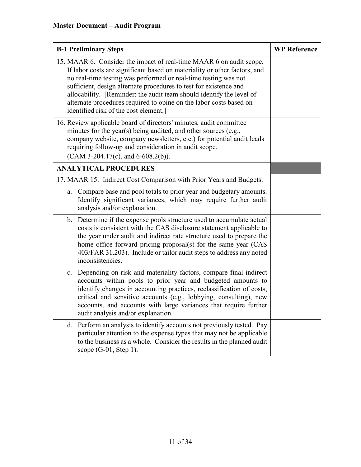| <b>B-1 Preliminary Steps</b>                                                                                                                                                                                                                                                                                                                                                                                                                                                    | <b>WP Reference</b> |
|---------------------------------------------------------------------------------------------------------------------------------------------------------------------------------------------------------------------------------------------------------------------------------------------------------------------------------------------------------------------------------------------------------------------------------------------------------------------------------|---------------------|
| 15. MAAR 6. Consider the impact of real-time MAAR 6 on audit scope.<br>If labor costs are significant based on materiality or other factors, and<br>no real-time testing was performed or real-time testing was not<br>sufficient, design alternate procedures to test for existence and<br>allocability. [Reminder: the audit team should identify the level of<br>alternate procedures required to opine on the labor costs based on<br>identified risk of the cost element.] |                     |
| 16. Review applicable board of directors' minutes, audit committee<br>minutes for the year(s) being audited, and other sources (e.g.,<br>company website, company newsletters, etc.) for potential audit leads<br>requiring follow-up and consideration in audit scope.<br>$(CAM 3-204.17(c), and 6-608.2(b)).$                                                                                                                                                                 |                     |
| <b>ANALYTICAL PROCEDURES</b>                                                                                                                                                                                                                                                                                                                                                                                                                                                    |                     |
| 17. MAAR 15: Indirect Cost Comparison with Prior Years and Budgets.                                                                                                                                                                                                                                                                                                                                                                                                             |                     |
| Compare base and pool totals to prior year and budgetary amounts.<br>a.<br>Identify significant variances, which may require further audit<br>analysis and/or explanation.                                                                                                                                                                                                                                                                                                      |                     |
| b. Determine if the expense pools structure used to accumulate actual<br>costs is consistent with the CAS disclosure statement applicable to<br>the year under audit and indirect rate structure used to prepare the<br>home office forward pricing proposal(s) for the same year (CAS<br>403/FAR 31.203). Include or tailor audit steps to address any noted<br>inconsistencies.                                                                                               |                     |
| c. Depending on risk and materiality factors, compare final indirect<br>accounts within pools to prior year and budgeted amounts to<br>identify changes in accounting practices, reclassification of costs,<br>critical and sensitive accounts (e.g., lobbying, consulting), new<br>accounts, and accounts with large variances that require further<br>audit analysis and/or explanation.                                                                                      |                     |
| d. Perform an analysis to identify accounts not previously tested. Pay<br>particular attention to the expense types that may not be applicable<br>to the business as a whole. Consider the results in the planned audit<br>scope $(G-01,$ Step 1).                                                                                                                                                                                                                              |                     |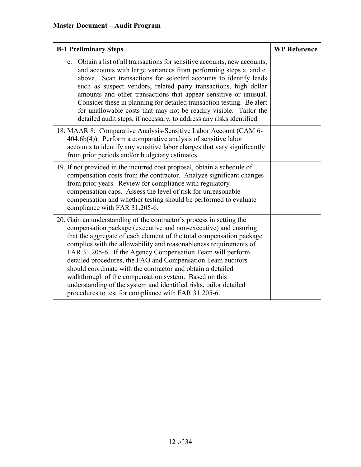| <b>B-1 Preliminary Steps</b>                                                                                                                                                                                                                                                                                                                                                                                                                                                                                                                                                                                                                                           | <b>WP Reference</b> |
|------------------------------------------------------------------------------------------------------------------------------------------------------------------------------------------------------------------------------------------------------------------------------------------------------------------------------------------------------------------------------------------------------------------------------------------------------------------------------------------------------------------------------------------------------------------------------------------------------------------------------------------------------------------------|---------------------|
| e. Obtain a list of all transactions for sensitive accounts, new accounts,<br>and accounts with large variances from performing steps a. and c.<br>above. Scan transactions for selected accounts to identify leads<br>such as suspect vendors, related party transactions, high dollar<br>amounts and other transactions that appear sensitive or unusual.<br>Consider these in planning for detailed transaction testing. Be alert<br>for unallowable costs that may not be readily visible. Tailor the<br>detailed audit steps, if necessary, to address any risks identified.                                                                                      |                     |
| 18. MAAR 8: Comparative Analysis-Sensitive Labor Account (CAM 6-<br>$404.6b(4)$ ). Perform a comparative analysis of sensitive labor<br>accounts to identify any sensitive labor charges that vary significantly<br>from prior periods and/or budgetary estimates.                                                                                                                                                                                                                                                                                                                                                                                                     |                     |
| 19. If not provided in the incurred cost proposal, obtain a schedule of<br>compensation costs from the contractor. Analyze significant changes<br>from prior years. Review for compliance with regulatory<br>compensation caps. Assess the level of risk for unreasonable<br>compensation and whether testing should be performed to evaluate<br>compliance with FAR 31.205-6.                                                                                                                                                                                                                                                                                         |                     |
| 20. Gain an understanding of the contractor's process in setting the<br>compensation package (executive and non-executive) and ensuring<br>that the aggregate of each element of the total compensation package<br>complies with the allowability and reasonableness requirements of<br>FAR 31.205-6. If the Agency Compensation Team will perform<br>detailed procedures, the FAO and Compensation Team auditors<br>should coordinate with the contractor and obtain a detailed<br>walkthrough of the compensation system. Based on this<br>understanding of the system and identified risks, tailor detailed<br>procedures to test for compliance with FAR 31.205-6. |                     |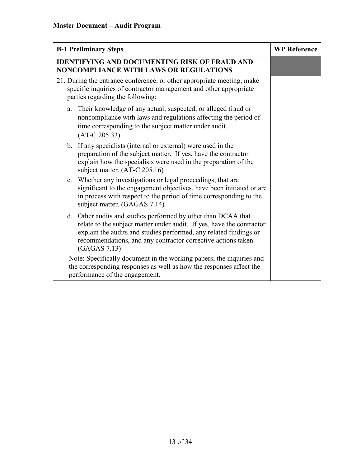| <b>B-1 Preliminary Steps</b>                                                                                                                                                                                                                                                                 | <b>WP Reference</b> |
|----------------------------------------------------------------------------------------------------------------------------------------------------------------------------------------------------------------------------------------------------------------------------------------------|---------------------|
| <b>IDENTIFYING AND DOCUMENTING RISK OF FRAUD AND</b><br>NONCOMPLIANCE WITH LAWS OR REGULATIONS                                                                                                                                                                                               |                     |
| 21. During the entrance conference, or other appropriate meeting, make<br>specific inquiries of contractor management and other appropriate<br>parties regarding the following:                                                                                                              |                     |
| Their knowledge of any actual, suspected, or alleged fraud or<br>a.<br>noncompliance with laws and regulations affecting the period of<br>time corresponding to the subject matter under audit.<br>$(AT-C 205.33)$                                                                           |                     |
| b. If any specialists (internal or external) were used in the<br>preparation of the subject matter. If yes, have the contractor<br>explain how the specialists were used in the preparation of the<br>subject matter. (AT-C 205.16)                                                          |                     |
| c. Whether any investigations or legal proceedings, that are<br>significant to the engagement objectives, have been initiated or are<br>in process with respect to the period of time corresponding to the<br>subject matter. (GAGAS 7.14)                                                   |                     |
| d. Other audits and studies performed by other than DCAA that<br>relate to the subject matter under audit. If yes, have the contractor<br>explain the audits and studies performed, any related findings or<br>recommendations, and any contractor corrective actions taken.<br>(GAGAS 7.13) |                     |
| Note: Specifically document in the working papers; the inquiries and<br>the corresponding responses as well as how the responses affect the<br>performance of the engagement.                                                                                                                |                     |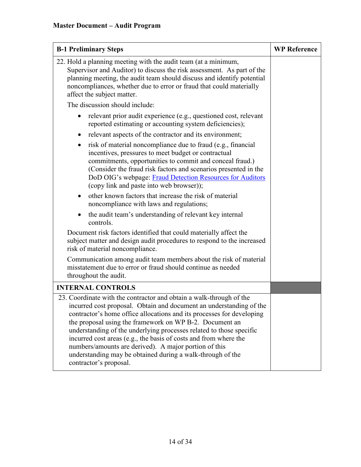| <b>B-1 Preliminary Steps</b>                                                                                                                                                                                                                                                                                                                                                                                                                                                                                                                                               | <b>WP Reference</b> |
|----------------------------------------------------------------------------------------------------------------------------------------------------------------------------------------------------------------------------------------------------------------------------------------------------------------------------------------------------------------------------------------------------------------------------------------------------------------------------------------------------------------------------------------------------------------------------|---------------------|
| 22. Hold a planning meeting with the audit team (at a minimum,<br>Supervisor and Auditor) to discuss the risk assessment. As part of the<br>planning meeting, the audit team should discuss and identify potential<br>noncompliances, whether due to error or fraud that could materially<br>affect the subject matter.                                                                                                                                                                                                                                                    |                     |
| The discussion should include:                                                                                                                                                                                                                                                                                                                                                                                                                                                                                                                                             |                     |
| relevant prior audit experience (e.g., questioned cost, relevant<br>reported estimating or accounting system deficiencies);                                                                                                                                                                                                                                                                                                                                                                                                                                                |                     |
| relevant aspects of the contractor and its environment;                                                                                                                                                                                                                                                                                                                                                                                                                                                                                                                    |                     |
| risk of material noncompliance due to fraud (e.g., financial<br>٠<br>incentives, pressures to meet budget or contractual<br>commitments, opportunities to commit and conceal fraud.)<br>(Consider the fraud risk factors and scenarios presented in the<br>DoD OIG's webpage: Fraud Detection Resources for Auditors<br>(copy link and paste into web browser));                                                                                                                                                                                                           |                     |
| other known factors that increase the risk of material<br>$\bullet$<br>noncompliance with laws and regulations;                                                                                                                                                                                                                                                                                                                                                                                                                                                            |                     |
| the audit team's understanding of relevant key internal<br>controls.                                                                                                                                                                                                                                                                                                                                                                                                                                                                                                       |                     |
| Document risk factors identified that could materially affect the<br>subject matter and design audit procedures to respond to the increased<br>risk of material noncompliance.                                                                                                                                                                                                                                                                                                                                                                                             |                     |
| Communication among audit team members about the risk of material<br>misstatement due to error or fraud should continue as needed<br>throughout the audit.                                                                                                                                                                                                                                                                                                                                                                                                                 |                     |
| <b>INTERNAL CONTROLS</b>                                                                                                                                                                                                                                                                                                                                                                                                                                                                                                                                                   |                     |
| 23. Coordinate with the contractor and obtain a walk-through of the<br>incurred cost proposal. Obtain and document an understanding of the<br>contractor's home office allocations and its processes for developing<br>the proposal using the framework on WP B-2. Document an<br>understanding of the underlying processes related to those specific<br>incurred cost areas (e.g., the basis of costs and from where the<br>numbers/amounts are derived). A major portion of this<br>understanding may be obtained during a walk-through of the<br>contractor's proposal. |                     |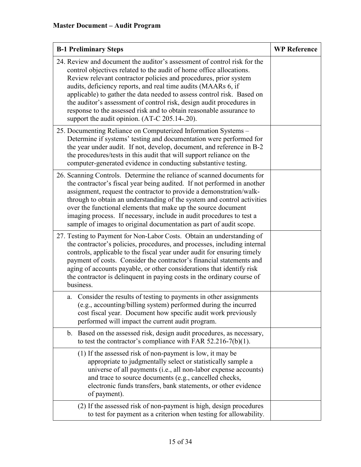| <b>B-1 Preliminary Steps</b>                                                                                                                                                                                                                                                                                                                                                                                                                                                                                                                                   | <b>WP Reference</b> |
|----------------------------------------------------------------------------------------------------------------------------------------------------------------------------------------------------------------------------------------------------------------------------------------------------------------------------------------------------------------------------------------------------------------------------------------------------------------------------------------------------------------------------------------------------------------|---------------------|
| 24. Review and document the auditor's assessment of control risk for the<br>control objectives related to the audit of home office allocations.<br>Review relevant contractor policies and procedures, prior system<br>audits, deficiency reports, and real time audits (MAARs 6, if<br>applicable) to gather the data needed to assess control risk. Based on<br>the auditor's assessment of control risk, design audit procedures in<br>response to the assessed risk and to obtain reasonable assurance to<br>support the audit opinion. (AT-C 205.14-.20). |                     |
| 25. Documenting Reliance on Computerized Information Systems -<br>Determine if systems' testing and documentation were performed for<br>the year under audit. If not, develop, document, and reference in B-2<br>the procedures/tests in this audit that will support reliance on the<br>computer-generated evidence in conducting substantive testing.                                                                                                                                                                                                        |                     |
| 26. Scanning Controls. Determine the reliance of scanned documents for<br>the contractor's fiscal year being audited. If not performed in another<br>assignment, request the contractor to provide a demonstration/walk-<br>through to obtain an understanding of the system and control activities<br>over the functional elements that make up the source document<br>imaging process. If necessary, include in audit procedures to test a<br>sample of images to original documentation as part of audit scope.                                             |                     |
| 27. Testing to Payment for Non-Labor Costs. Obtain an understanding of<br>the contractor's policies, procedures, and processes, including internal<br>controls, applicable to the fiscal year under audit for ensuring timely<br>payment of costs. Consider the contractor's financial statements and<br>aging of accounts payable, or other considerations that identify risk<br>the contractor is delinquent in paying costs in the ordinary course of<br>business.                                                                                          |                     |
| Consider the results of testing to payments in other assignments<br>a.<br>(e.g., accounting/billing system) performed during the incurred<br>cost fiscal year. Document how specific audit work previously<br>performed will impact the current audit program.                                                                                                                                                                                                                                                                                                 |                     |
| Based on the assessed risk, design audit procedures, as necessary,<br>$\mathbf{b}$ .<br>to test the contractor's compliance with FAR $52.216-7(b)(1)$ .                                                                                                                                                                                                                                                                                                                                                                                                        |                     |
| (1) If the assessed risk of non-payment is low, it may be<br>appropriate to judgmentally select or statistically sample a<br>universe of all payments (i.e., all non-labor expense accounts)<br>and trace to source documents (e.g., cancelled checks,<br>electronic funds transfers, bank statements, or other evidence<br>of payment).                                                                                                                                                                                                                       |                     |
| (2) If the assessed risk of non-payment is high, design procedures<br>to test for payment as a criterion when testing for allowability.                                                                                                                                                                                                                                                                                                                                                                                                                        |                     |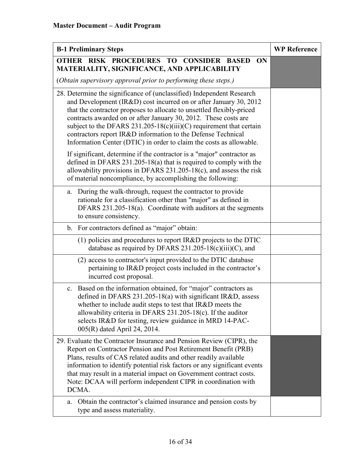| <b>B-1 Preliminary Steps</b>                                                                                                                                                                                                                                                                                                                                                                                                                                                                         | <b>WP Reference</b> |
|------------------------------------------------------------------------------------------------------------------------------------------------------------------------------------------------------------------------------------------------------------------------------------------------------------------------------------------------------------------------------------------------------------------------------------------------------------------------------------------------------|---------------------|
| OTHER RISK PROCEDURES TO CONSIDER BASED<br>ON<br>MATERIALITY, SIGNIFICANCE, AND APPLICABILITY                                                                                                                                                                                                                                                                                                                                                                                                        |                     |
| (Obtain supervisory approval prior to performing these steps.)                                                                                                                                                                                                                                                                                                                                                                                                                                       |                     |
| 28. Determine the significance of (unclassified) Independent Research<br>and Development (IR&D) cost incurred on or after January 30, 2012<br>that the contractor proposes to allocate to unsettled flexibly-priced<br>contracts awarded on or after January 30, 2012. These costs are<br>subject to the DFARS 231.205-18(c)(iii)(C) requirement that certain<br>contractors report IR&D information to the Defense Technical<br>Information Center (DTIC) in order to claim the costs as allowable. |                     |
| If significant, determine if the contractor is a "major" contractor as<br>defined in DFARS 231.205-18(a) that is required to comply with the<br>allowability provisions in DFARS $231.205-18(c)$ , and assess the risk<br>of material noncompliance, by accomplishing the following:                                                                                                                                                                                                                 |                     |
| During the walk-through, request the contractor to provide<br>a.<br>rationale for a classification other than "major" as defined in<br>DFARS 231.205-18(a). Coordinate with auditors at the segments<br>to ensure consistency.                                                                                                                                                                                                                                                                       |                     |
| For contractors defined as "major" obtain:<br>b.                                                                                                                                                                                                                                                                                                                                                                                                                                                     |                     |
| (1) policies and procedures to report IR&D projects to the DTIC<br>database as required by DFARS $231.205-18(c)(iii)(C)$ , and                                                                                                                                                                                                                                                                                                                                                                       |                     |
| (2) access to contractor's input provided to the DTIC database<br>pertaining to IR&D project costs included in the contractor's<br>incurred cost proposal.                                                                                                                                                                                                                                                                                                                                           |                     |
| Based on the information obtained, for "major" contractors as<br>c.<br>defined in DFARS 231.205-18(a) with significant IR&D, assess<br>whether to include audit steps to test that IR&D meets the<br>allowability criteria in DFARS 231.205-18(c). If the auditor<br>selects IR&D for testing, review guidance in MRD 14-PAC-<br>005(R) dated April 24, 2014.                                                                                                                                        |                     |
| 29. Evaluate the Contractor Insurance and Pension Review (CIPR), the<br>Report on Contractor Pension and Post Retirement Benefit (PRB)<br>Plans, results of CAS related audits and other readily available<br>information to identify potential risk factors or any significant events<br>that may result in a material impact on Government contract costs.<br>Note: DCAA will perform independent CIPR in coordination with<br>DCMA.                                                               |                     |
| Obtain the contractor's claimed insurance and pension costs by<br>a.<br>type and assess materiality.                                                                                                                                                                                                                                                                                                                                                                                                 |                     |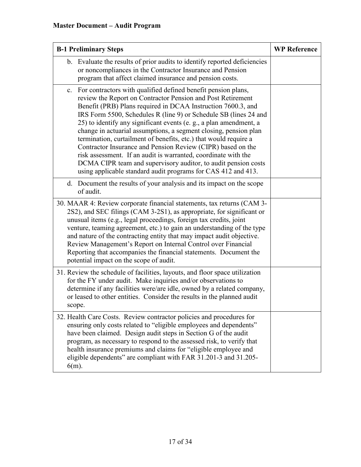| <b>B-1 Preliminary Steps</b>                                                                                                                                                                                                                                                                                                                                                                                                                                                                                                                                                                                                                                                                                                                             | <b>WP Reference</b> |
|----------------------------------------------------------------------------------------------------------------------------------------------------------------------------------------------------------------------------------------------------------------------------------------------------------------------------------------------------------------------------------------------------------------------------------------------------------------------------------------------------------------------------------------------------------------------------------------------------------------------------------------------------------------------------------------------------------------------------------------------------------|---------------------|
| b. Evaluate the results of prior audits to identify reported deficiencies<br>or noncompliances in the Contractor Insurance and Pension<br>program that affect claimed insurance and pension costs.                                                                                                                                                                                                                                                                                                                                                                                                                                                                                                                                                       |                     |
| For contractors with qualified defined benefit pension plans,<br>c.<br>review the Report on Contractor Pension and Post Retirement<br>Benefit (PRB) Plans required in DCAA Instruction 7600.3, and<br>IRS Form 5500, Schedules R (line 9) or Schedule SB (lines 24 and<br>25) to identify any significant events (e. g., a plan amendment, a<br>change in actuarial assumptions, a segment closing, pension plan<br>termination, curtailment of benefits, etc.) that would require a<br>Contractor Insurance and Pension Review (CIPR) based on the<br>risk assessment. If an audit is warranted, coordinate with the<br>DCMA CIPR team and supervisory auditor, to audit pension costs<br>using applicable standard audit programs for CAS 412 and 413. |                     |
| d. Document the results of your analysis and its impact on the scope<br>of audit.                                                                                                                                                                                                                                                                                                                                                                                                                                                                                                                                                                                                                                                                        |                     |
| 30. MAAR 4: Review corporate financial statements, tax returns (CAM 3-<br>2S2), and SEC filings (CAM 3-2S1), as appropriate, for significant or<br>unusual items (e.g., legal proceedings, foreign tax credits, joint<br>venture, teaming agreement, etc.) to gain an understanding of the type<br>and nature of the contracting entity that may impact audit objective.<br>Review Management's Report on Internal Control over Financial<br>Reporting that accompanies the financial statements. Document the<br>potential impact on the scope of audit.                                                                                                                                                                                                |                     |
| 31. Review the schedule of facilities, layouts, and floor space utilization<br>for the FY under audit. Make inquiries and/or observations to<br>determine if any facilities were/are idle, owned by a related company,<br>or leased to other entities. Consider the results in the planned audit<br>scope.                                                                                                                                                                                                                                                                                                                                                                                                                                               |                     |
| 32. Health Care Costs. Review contractor policies and procedures for<br>ensuring only costs related to "eligible employees and dependents"<br>have been claimed. Design audit steps in Section G of the audit<br>program, as necessary to respond to the assessed risk, to verify that<br>health insurance premiums and claims for "eligible employee and<br>eligible dependents" are compliant with FAR 31.201-3 and 31.205-<br>$6(m)$ .                                                                                                                                                                                                                                                                                                                |                     |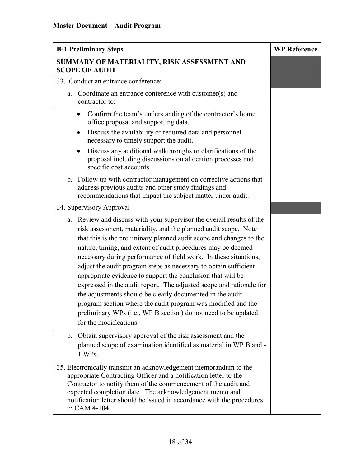| <b>B-1 Preliminary Steps</b>                                                                                                                                                                                                                                                                                                                                                                                                                                                                                                                                                                                                                                                                                                                                                           | <b>WP Reference</b> |
|----------------------------------------------------------------------------------------------------------------------------------------------------------------------------------------------------------------------------------------------------------------------------------------------------------------------------------------------------------------------------------------------------------------------------------------------------------------------------------------------------------------------------------------------------------------------------------------------------------------------------------------------------------------------------------------------------------------------------------------------------------------------------------------|---------------------|
| SUMMARY OF MATERIALITY, RISK ASSESSMENT AND<br><b>SCOPE OF AUDIT</b>                                                                                                                                                                                                                                                                                                                                                                                                                                                                                                                                                                                                                                                                                                                   |                     |
| 33. Conduct an entrance conference:                                                                                                                                                                                                                                                                                                                                                                                                                                                                                                                                                                                                                                                                                                                                                    |                     |
| Coordinate an entrance conference with customer(s) and<br>a.<br>contractor to:                                                                                                                                                                                                                                                                                                                                                                                                                                                                                                                                                                                                                                                                                                         |                     |
| Confirm the team's understanding of the contractor's home<br>$\bullet$<br>office proposal and supporting data.                                                                                                                                                                                                                                                                                                                                                                                                                                                                                                                                                                                                                                                                         |                     |
| Discuss the availability of required data and personnel<br>$\bullet$<br>necessary to timely support the audit.                                                                                                                                                                                                                                                                                                                                                                                                                                                                                                                                                                                                                                                                         |                     |
| Discuss any additional walkthroughs or clarifications of the<br>$\bullet$<br>proposal including discussions on allocation processes and<br>specific cost accounts.                                                                                                                                                                                                                                                                                                                                                                                                                                                                                                                                                                                                                     |                     |
| b. Follow up with contractor management on corrective actions that<br>address previous audits and other study findings and<br>recommendations that impact the subject matter under audit.                                                                                                                                                                                                                                                                                                                                                                                                                                                                                                                                                                                              |                     |
| 34. Supervisory Approval                                                                                                                                                                                                                                                                                                                                                                                                                                                                                                                                                                                                                                                                                                                                                               |                     |
| a. Review and discuss with your supervisor the overall results of the<br>risk assessment, materiality, and the planned audit scope. Note<br>that this is the preliminary planned audit scope and changes to the<br>nature, timing, and extent of audit procedures may be deemed<br>necessary during performance of field work. In these situations,<br>adjust the audit program steps as necessary to obtain sufficient<br>appropriate evidence to support the conclusion that will be<br>expressed in the audit report. The adjusted scope and rationale for<br>the adjustments should be clearly documented in the audit<br>program section where the audit program was modified and the<br>preliminary WPs (i.e., WP B section) do not need to be updated<br>for the modifications. |                     |
| b. Obtain supervisory approval of the risk assessment and the<br>planned scope of examination identified as material in WP B and -<br>1 WPs.                                                                                                                                                                                                                                                                                                                                                                                                                                                                                                                                                                                                                                           |                     |
| 35. Electronically transmit an acknowledgement memorandum to the<br>appropriate Contracting Officer and a notification letter to the<br>Contractor to notify them of the commencement of the audit and<br>expected completion date. The acknowledgement memo and<br>notification letter should be issued in accordance with the procedures<br>in CAM 4-104.                                                                                                                                                                                                                                                                                                                                                                                                                            |                     |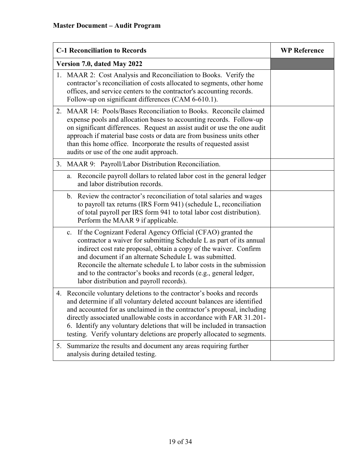| <b>C-1 Reconciliation to Records</b>                                                                                                                                                                                                                                                                                                                                                                                                                           | <b>WP Reference</b> |
|----------------------------------------------------------------------------------------------------------------------------------------------------------------------------------------------------------------------------------------------------------------------------------------------------------------------------------------------------------------------------------------------------------------------------------------------------------------|---------------------|
| Version 7.0, dated May 2022                                                                                                                                                                                                                                                                                                                                                                                                                                    |                     |
| MAAR 2: Cost Analysis and Reconciliation to Books. Verify the<br>1.<br>contractor's reconciliation of costs allocated to segments, other home<br>offices, and service centers to the contractor's accounting records.<br>Follow-up on significant differences (CAM 6-610.1).                                                                                                                                                                                   |                     |
| MAAR 14: Pools/Bases Reconciliation to Books. Reconcile claimed<br>2.<br>expense pools and allocation bases to accounting records. Follow-up<br>on significant differences. Request an assist audit or use the one audit<br>approach if material base costs or data are from business units other<br>than this home office. Incorporate the results of requested assist<br>audits or use of the one audit approach.                                            |                     |
| 3. MAAR 9: Payroll/Labor Distribution Reconciliation.                                                                                                                                                                                                                                                                                                                                                                                                          |                     |
| a. Reconcile payroll dollars to related labor cost in the general ledger<br>and labor distribution records.                                                                                                                                                                                                                                                                                                                                                    |                     |
| b. Review the contractor's reconciliation of total salaries and wages<br>to payroll tax returns (IRS Form 941) (schedule L, reconciliation<br>of total payroll per IRS form 941 to total labor cost distribution).<br>Perform the MAAR 9 if applicable.                                                                                                                                                                                                        |                     |
| If the Cognizant Federal Agency Official (CFAO) granted the<br>c.<br>contractor a waiver for submitting Schedule L as part of its annual<br>indirect cost rate proposal, obtain a copy of the waiver. Confirm<br>and document if an alternate Schedule L was submitted.<br>Reconcile the alternate schedule L to labor costs in the submission<br>and to the contractor's books and records (e.g., general ledger,<br>labor distribution and payroll records). |                     |
| 4. Reconcile voluntary deletions to the contractor's books and records<br>and determine if all voluntary deleted account balances are identified<br>and accounted for as unclaimed in the contractor's proposal, including<br>directly associated unallowable costs in accordance with FAR 31.201-<br>6. Identify any voluntary deletions that will be included in transaction<br>testing. Verify voluntary deletions are properly allocated to segments.      |                     |
| Summarize the results and document any areas requiring further<br>5.<br>analysis during detailed testing.                                                                                                                                                                                                                                                                                                                                                      |                     |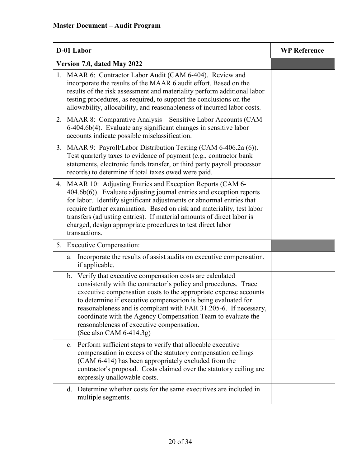| D-01 Labor                                                                                                                                                                                                                                                                                                                                                                                                                                                                        | <b>WP Reference</b> |
|-----------------------------------------------------------------------------------------------------------------------------------------------------------------------------------------------------------------------------------------------------------------------------------------------------------------------------------------------------------------------------------------------------------------------------------------------------------------------------------|---------------------|
| Version 7.0, dated May 2022                                                                                                                                                                                                                                                                                                                                                                                                                                                       |                     |
| 1. MAAR 6: Contractor Labor Audit (CAM 6-404). Review and<br>incorporate the results of the MAAR 6 audit effort. Based on the<br>results of the risk assessment and materiality perform additional labor<br>testing procedures, as required, to support the conclusions on the<br>allowability, allocability, and reasonableness of incurred labor costs.                                                                                                                         |                     |
| 2. MAAR 8: Comparative Analysis – Sensitive Labor Accounts (CAM<br>6-404.6b(4). Evaluate any significant changes in sensitive labor<br>accounts indicate possible misclassification.                                                                                                                                                                                                                                                                                              |                     |
| 3. MAAR 9: Payroll/Labor Distribution Testing (CAM 6-406.2a (6)).<br>Test quarterly taxes to evidence of payment (e.g., contractor bank<br>statements, electronic funds transfer, or third party payroll processor<br>records) to determine if total taxes owed were paid.                                                                                                                                                                                                        |                     |
| 4. MAAR 10: Adjusting Entries and Exception Reports (CAM 6-<br>404.6b(6)). Evaluate adjusting journal entries and exception reports<br>for labor. Identify significant adjustments or abnormal entries that<br>require further examination. Based on risk and materiality, test labor<br>transfers (adjusting entries). If material amounts of direct labor is<br>charged, design appropriate procedures to test direct labor<br>transactions.                                    |                     |
| 5. Executive Compensation:                                                                                                                                                                                                                                                                                                                                                                                                                                                        |                     |
| Incorporate the results of assist audits on executive compensation,<br>a.<br>if applicable.                                                                                                                                                                                                                                                                                                                                                                                       |                     |
| b. Verify that executive compensation costs are calculated<br>consistently with the contractor's policy and procedures. Trace<br>executive compensation costs to the appropriate expense accounts<br>to determine if executive compensation is being evaluated for<br>reasonableness and is compliant with FAR 31.205-6. If necessary,<br>coordinate with the Agency Compensation Team to evaluate the<br>reasonableness of executive compensation.<br>(See also CAM $6-414.3g$ ) |                     |
| c. Perform sufficient steps to verify that allocable executive<br>compensation in excess of the statutory compensation ceilings<br>(CAM 6-414) has been appropriately excluded from the<br>contractor's proposal. Costs claimed over the statutory ceiling are<br>expressly unallowable costs.                                                                                                                                                                                    |                     |
| Determine whether costs for the same executives are included in<br>d.<br>multiple segments.                                                                                                                                                                                                                                                                                                                                                                                       |                     |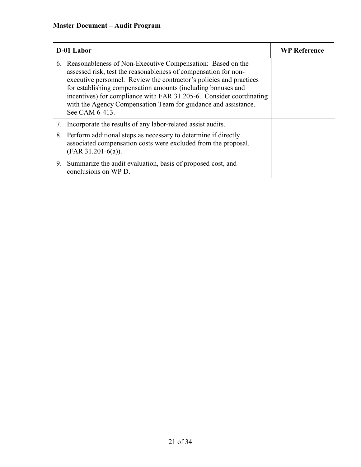| D-01 Labor                                                                                                                                                                                                                                                                                                                                                                                                                         | <b>WP Reference</b> |
|------------------------------------------------------------------------------------------------------------------------------------------------------------------------------------------------------------------------------------------------------------------------------------------------------------------------------------------------------------------------------------------------------------------------------------|---------------------|
| 6. Reasonableness of Non-Executive Compensation: Based on the<br>assessed risk, test the reasonableness of compensation for non-<br>executive personnel. Review the contractor's policies and practices<br>for establishing compensation amounts (including bonuses and<br>incentives) for compliance with FAR 31.205-6. Consider coordinating<br>with the Agency Compensation Team for guidance and assistance.<br>See CAM 6-413. |                     |
| 7. Incorporate the results of any labor-related assist audits.                                                                                                                                                                                                                                                                                                                                                                     |                     |
| 8. Perform additional steps as necessary to determine if directly<br>associated compensation costs were excluded from the proposal.<br>$(FAR 31.201-6(a)).$                                                                                                                                                                                                                                                                        |                     |
| 9. Summarize the audit evaluation, basis of proposed cost, and<br>conclusions on WP D.                                                                                                                                                                                                                                                                                                                                             |                     |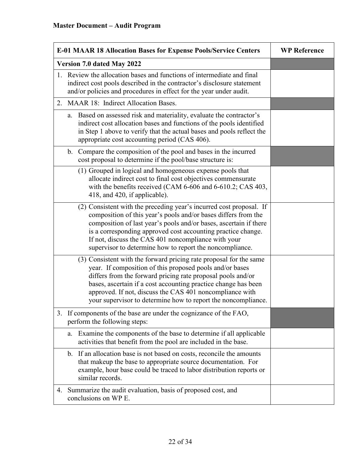| <b>E-01 MAAR 18 Allocation Bases for Expense Pools/Service Centers</b>                                                                                                                                                                                                                                                                                                                        | <b>WP Reference</b> |
|-----------------------------------------------------------------------------------------------------------------------------------------------------------------------------------------------------------------------------------------------------------------------------------------------------------------------------------------------------------------------------------------------|---------------------|
| Version 7.0 dated May 2022                                                                                                                                                                                                                                                                                                                                                                    |                     |
| 1. Review the allocation bases and functions of intermediate and final<br>indirect cost pools described in the contractor's disclosure statement<br>and/or policies and procedures in effect for the year under audit.                                                                                                                                                                        |                     |
| MAAR 18: Indirect Allocation Bases.<br>2.                                                                                                                                                                                                                                                                                                                                                     |                     |
| a. Based on assessed risk and materiality, evaluate the contractor's<br>indirect cost allocation bases and functions of the pools identified<br>in Step 1 above to verify that the actual bases and pools reflect the<br>appropriate cost accounting period (CAS 406).                                                                                                                        |                     |
| Compare the composition of the pool and bases in the incurred<br>$\mathbf{b}$ .<br>cost proposal to determine if the pool/base structure is:                                                                                                                                                                                                                                                  |                     |
| (1) Grouped in logical and homogeneous expense pools that<br>allocate indirect cost to final cost objectives commensurate<br>with the benefits received (CAM 6-606 and 6-610.2; CAS 403,<br>418, and 420, if applicable).                                                                                                                                                                     |                     |
| (2) Consistent with the preceding year's incurred cost proposal. If<br>composition of this year's pools and/or bases differs from the<br>composition of last year's pools and/or bases, ascertain if there<br>is a corresponding approved cost accounting practice change.<br>If not, discuss the CAS 401 noncompliance with your<br>supervisor to determine how to report the noncompliance. |                     |
| (3) Consistent with the forward pricing rate proposal for the same<br>year. If composition of this proposed pools and/or bases<br>differs from the forward pricing rate proposal pools and/or<br>bases, ascertain if a cost accounting practice change has been<br>approved. If not, discuss the CAS 401 noncompliance with<br>your supervisor to determine how to report the noncompliance.  |                     |
| If components of the base are under the cognizance of the FAO,<br>3.<br>perform the following steps:                                                                                                                                                                                                                                                                                          |                     |
| Examine the components of the base to determine if all applicable<br>a.<br>activities that benefit from the pool are included in the base.                                                                                                                                                                                                                                                    |                     |
| b. If an allocation base is not based on costs, reconcile the amounts<br>that makeup the base to appropriate source documentation. For<br>example, hour base could be traced to labor distribution reports or<br>similar records.                                                                                                                                                             |                     |
| Summarize the audit evaluation, basis of proposed cost, and<br>4.<br>conclusions on WP E.                                                                                                                                                                                                                                                                                                     |                     |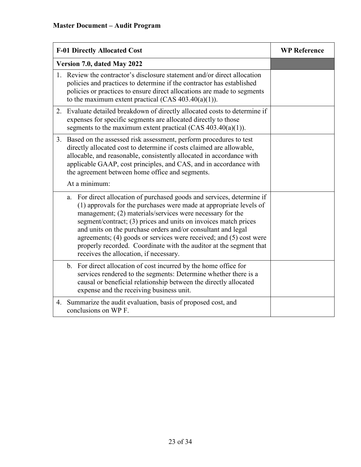| <b>F-01 Directly Allocated Cost</b>                                                                                                                                                                                                                                                                                                                                                                                                                                                                                                   | <b>WP Reference</b> |
|---------------------------------------------------------------------------------------------------------------------------------------------------------------------------------------------------------------------------------------------------------------------------------------------------------------------------------------------------------------------------------------------------------------------------------------------------------------------------------------------------------------------------------------|---------------------|
| Version 7.0, dated May 2022                                                                                                                                                                                                                                                                                                                                                                                                                                                                                                           |                     |
| 1. Review the contractor's disclosure statement and/or direct allocation<br>policies and practices to determine if the contractor has established<br>policies or practices to ensure direct allocations are made to segments<br>to the maximum extent practical $(CAS 403.40(a)(1))$ .                                                                                                                                                                                                                                                |                     |
| 2. Evaluate detailed breakdown of directly allocated costs to determine if<br>expenses for specific segments are allocated directly to those<br>segments to the maximum extent practical (CAS $403.40(a)(1)$ ).                                                                                                                                                                                                                                                                                                                       |                     |
| 3. Based on the assessed risk assessment, perform procedures to test<br>directly allocated cost to determine if costs claimed are allowable,<br>allocable, and reasonable, consistently allocated in accordance with<br>applicable GAAP, cost principles, and CAS, and in accordance with<br>the agreement between home office and segments.                                                                                                                                                                                          |                     |
| At a minimum:                                                                                                                                                                                                                                                                                                                                                                                                                                                                                                                         |                     |
| For direct allocation of purchased goods and services, determine if<br>a.<br>(1) approvals for the purchases were made at appropriate levels of<br>management; (2) materials/services were necessary for the<br>segment/contract; (3) prices and units on invoices match prices<br>and units on the purchase orders and/or consultant and legal<br>agreements; (4) goods or services were received; and (5) cost were<br>properly recorded. Coordinate with the auditor at the segment that<br>receives the allocation, if necessary. |                     |
| For direct allocation of cost incurred by the home office for<br>b.<br>services rendered to the segments: Determine whether there is a<br>causal or beneficial relationship between the directly allocated<br>expense and the receiving business unit.                                                                                                                                                                                                                                                                                |                     |
| Summarize the audit evaluation, basis of proposed cost, and<br>4.<br>conclusions on WP F.                                                                                                                                                                                                                                                                                                                                                                                                                                             |                     |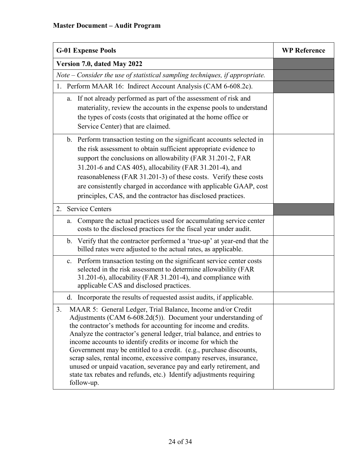# **Master Document – Audit Program**

| <b>G-01 Expense Pools</b>                                                                                                                                                                                                                                                                                                                                                                                                                                                                                                                                                                                                                             | <b>WP Reference</b> |
|-------------------------------------------------------------------------------------------------------------------------------------------------------------------------------------------------------------------------------------------------------------------------------------------------------------------------------------------------------------------------------------------------------------------------------------------------------------------------------------------------------------------------------------------------------------------------------------------------------------------------------------------------------|---------------------|
| Version 7.0, dated May 2022                                                                                                                                                                                                                                                                                                                                                                                                                                                                                                                                                                                                                           |                     |
| Note $-$ Consider the use of statistical sampling techniques, if appropriate.                                                                                                                                                                                                                                                                                                                                                                                                                                                                                                                                                                         |                     |
| 1. Perform MAAR 16: Indirect Account Analysis (CAM 6-608.2c).                                                                                                                                                                                                                                                                                                                                                                                                                                                                                                                                                                                         |                     |
| If not already performed as part of the assessment of risk and<br>a.<br>materiality, review the accounts in the expense pools to understand<br>the types of costs (costs that originated at the home office or<br>Service Center) that are claimed.                                                                                                                                                                                                                                                                                                                                                                                                   |                     |
| b. Perform transaction testing on the significant accounts selected in<br>the risk assessment to obtain sufficient appropriate evidence to<br>support the conclusions on allowability (FAR 31.201-2, FAR<br>31.201-6 and CAS 405), allocability (FAR 31.201-4), and<br>reasonableness (FAR 31.201-3) of these costs. Verify these costs<br>are consistently charged in accordance with applicable GAAP, cost<br>principles, CAS, and the contractor has disclosed practices.                                                                                                                                                                          |                     |
| <b>Service Centers</b><br>2.                                                                                                                                                                                                                                                                                                                                                                                                                                                                                                                                                                                                                          |                     |
| Compare the actual practices used for accumulating service center<br>a.<br>costs to the disclosed practices for the fiscal year under audit.                                                                                                                                                                                                                                                                                                                                                                                                                                                                                                          |                     |
| b. Verify that the contractor performed a 'true-up' at year-end that the<br>billed rates were adjusted to the actual rates, as applicable.                                                                                                                                                                                                                                                                                                                                                                                                                                                                                                            |                     |
| c. Perform transaction testing on the significant service center costs<br>selected in the risk assessment to determine allowability (FAR<br>31.201-6), allocability (FAR 31.201-4), and compliance with<br>applicable CAS and disclosed practices.                                                                                                                                                                                                                                                                                                                                                                                                    |                     |
| Incorporate the results of requested assist audits, if applicable.<br>d.                                                                                                                                                                                                                                                                                                                                                                                                                                                                                                                                                                              |                     |
| 3.<br>MAAR 5: General Ledger, Trial Balance, Income and/or Credit<br>Adjustments (CAM 6-608.2d(5)). Document your understanding of<br>the contractor's methods for accounting for income and credits.<br>Analyze the contractor's general ledger, trial balance, and entries to<br>income accounts to identify credits or income for which the<br>Government may be entitled to a credit. (e.g., purchase discounts,<br>scrap sales, rental income, excessive company reserves, insurance,<br>unused or unpaid vacation, severance pay and early retirement, and<br>state tax rebates and refunds, etc.) Identify adjustments requiring<br>follow-up. |                     |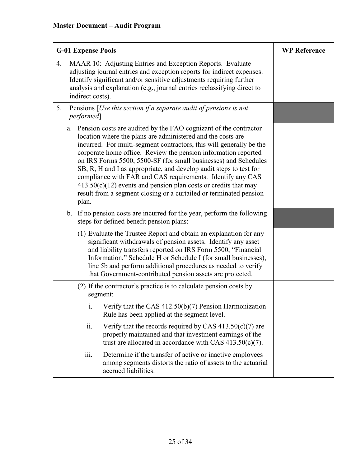| <b>G-01 Expense Pools</b>                                                                                                                                                                                                                                                                                                                                                                                                                                                                                                                                                                                                                 | <b>WP Reference</b> |
|-------------------------------------------------------------------------------------------------------------------------------------------------------------------------------------------------------------------------------------------------------------------------------------------------------------------------------------------------------------------------------------------------------------------------------------------------------------------------------------------------------------------------------------------------------------------------------------------------------------------------------------------|---------------------|
| MAAR 10: Adjusting Entries and Exception Reports. Evaluate<br>4.<br>adjusting journal entries and exception reports for indirect expenses.<br>Identify significant and/or sensitive adjustments requiring further<br>analysis and explanation (e.g., journal entries reclassifying direct to<br>indirect costs).                                                                                                                                                                                                                                                                                                                          |                     |
| Pensions [ <i>Use this section if a separate audit of pensions is not</i><br>5.<br><i>performed</i>                                                                                                                                                                                                                                                                                                                                                                                                                                                                                                                                       |                     |
| Pension costs are audited by the FAO cognizant of the contractor<br>a.<br>location where the plans are administered and the costs are<br>incurred. For multi-segment contractors, this will generally be the<br>corporate home office. Review the pension information reported<br>on IRS Forms 5500, 5500-SF (for small businesses) and Schedules<br>SB, R, H and I as appropriate, and develop audit steps to test for<br>compliance with FAR and CAS requirements. Identify any CAS<br>$413.50(c)(12)$ events and pension plan costs or credits that may<br>result from a segment closing or a curtailed or terminated pension<br>plan. |                     |
| If no pension costs are incurred for the year, perform the following<br>$\mathbf{b}$ .<br>steps for defined benefit pension plans:                                                                                                                                                                                                                                                                                                                                                                                                                                                                                                        |                     |
| (1) Evaluate the Trustee Report and obtain an explanation for any<br>significant withdrawals of pension assets. Identify any asset<br>and liability transfers reported on IRS Form 5500, "Financial<br>Information," Schedule H or Schedule I (for small businesses),<br>line 5b and perform additional procedures as needed to verify<br>that Government-contributed pension assets are protected.                                                                                                                                                                                                                                       |                     |
| (2) If the contractor's practice is to calculate pension costs by<br>segment:                                                                                                                                                                                                                                                                                                                                                                                                                                                                                                                                                             |                     |
| Verify that the CAS 412.50(b)(7) Pension Harmonization<br>i.<br>Rule has been applied at the segment level.                                                                                                                                                                                                                                                                                                                                                                                                                                                                                                                               |                     |
| ii.<br>Verify that the records required by CAS $413.50(c)(7)$ are<br>properly maintained and that investment earnings of the<br>trust are allocated in accordance with CAS $413.50(c)(7)$ .                                                                                                                                                                                                                                                                                                                                                                                                                                               |                     |
| $\dddot{\mathbf{m}}$ .<br>Determine if the transfer of active or inactive employees<br>among segments distorts the ratio of assets to the actuarial<br>accrued liabilities.                                                                                                                                                                                                                                                                                                                                                                                                                                                               |                     |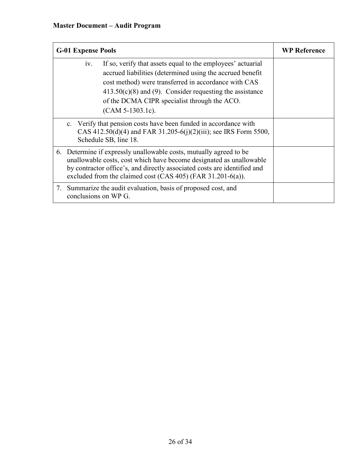# **Master Document – Audit Program**

| <b>G-01 Expense Pools</b>                                                                                                                                                                                                                                                                                                    | <b>WP Reference</b> |
|------------------------------------------------------------------------------------------------------------------------------------------------------------------------------------------------------------------------------------------------------------------------------------------------------------------------------|---------------------|
| If so, verify that assets equal to the employees' actuarial<br>1V.<br>accrued liabilities (determined using the accrued benefit<br>cost method) were transferred in accordance with CAS<br>$413.50(c)(8)$ and (9). Consider requesting the assistance<br>of the DCMA CIPR specialist through the ACO.<br>$(CAM 5-1303.1c)$ . |                     |
| c. Verify that pension costs have been funded in accordance with<br>CAS 412.50(d)(4) and FAR 31.205-6(j)(2)(iii); see IRS Form 5500,<br>Schedule SB, line 18.                                                                                                                                                                |                     |
| 6. Determine if expressly unallowable costs, mutually agreed to be<br>unallowable costs, cost which have become designated as unallowable<br>by contractor office's, and directly associated costs are identified and<br>excluded from the claimed cost $(CAS 405)$ (FAR 31.201-6(a)).                                       |                     |
| 7. Summarize the audit evaluation, basis of proposed cost, and<br>conclusions on WP G.                                                                                                                                                                                                                                       |                     |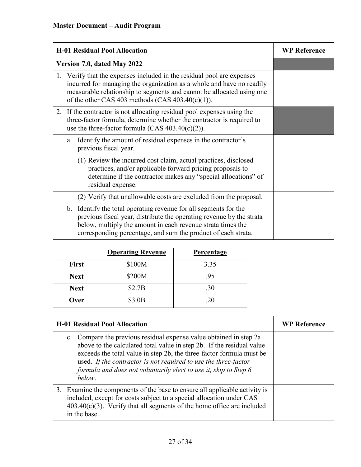| <b>H-01 Residual Pool Allocation</b>                                                                                                                                                                                                                                            | <b>WP Reference</b> |
|---------------------------------------------------------------------------------------------------------------------------------------------------------------------------------------------------------------------------------------------------------------------------------|---------------------|
| Version 7.0, dated May 2022                                                                                                                                                                                                                                                     |                     |
| 1. Verify that the expenses included in the residual pool are expenses<br>incurred for managing the organization as a whole and have no readily<br>measurable relationship to segments and cannot be allocated using one<br>of the other CAS 403 methods (CAS $403.40(c)(1)$ ). |                     |
| 2. If the contractor is not allocating residual pool expenses using the<br>three-factor formula, determine whether the contractor is required to<br>use the three-factor formula (CAS $403.40(c)(2)$ ).                                                                         |                     |
| Identify the amount of residual expenses in the contractor's<br>a.<br>previous fiscal year.                                                                                                                                                                                     |                     |
| (1) Review the incurred cost claim, actual practices, disclosed<br>practices, and/or applicable forward pricing proposals to<br>determine if the contractor makes any "special allocations" of<br>residual expense.                                                             |                     |
| (2) Verify that unallowable costs are excluded from the proposal.                                                                                                                                                                                                               |                     |
| b. Identify the total operating revenue for all segments for the<br>previous fiscal year, distribute the operating revenue by the strata<br>below, multiply the amount in each revenue strata times the<br>corresponding percentage, and sum the product of each strata.        |                     |

|              | <b>Operating Revenue</b> | <b>Percentage</b> |
|--------------|--------------------------|-------------------|
| <b>First</b> | \$100M                   | 3.35              |
| <b>Next</b>  | \$200M                   | .95               |
| <b>Next</b>  | \$2.7B                   | .30               |
| Over         | \$3.0B                   | .20               |

| <b>H-01 Residual Pool Allocation</b>                                                                                                                                                                                                                                                                                                                                 | <b>WP Reference</b> |
|----------------------------------------------------------------------------------------------------------------------------------------------------------------------------------------------------------------------------------------------------------------------------------------------------------------------------------------------------------------------|---------------------|
| c. Compare the previous residual expense value obtained in step 2a<br>above to the calculated total value in step 2b. If the residual value<br>exceeds the total value in step 2b, the three-factor formula must be<br>used. If the contractor is not required to use the three-factor<br>formula and does not voluntarily elect to use it, skip to Step 6<br>below. |                     |
| 3. Examine the components of the base to ensure all applicable activity is<br>included, except for costs subject to a special allocation under CAS<br>$403.40(c)(3)$ . Verify that all segments of the home office are included<br>in the base.                                                                                                                      |                     |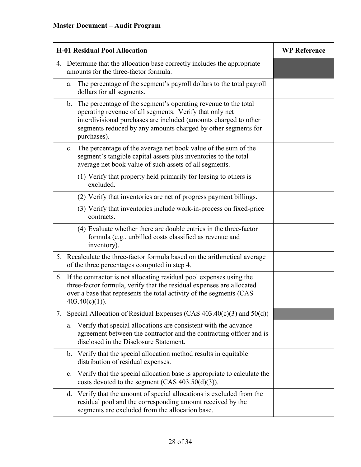| <b>H-01 Residual Pool Allocation</b>                                                                                                                                                                                                                                                | <b>WP Reference</b> |
|-------------------------------------------------------------------------------------------------------------------------------------------------------------------------------------------------------------------------------------------------------------------------------------|---------------------|
| 4. Determine that the allocation base correctly includes the appropriate<br>amounts for the three-factor formula.                                                                                                                                                                   |                     |
| The percentage of the segment's payroll dollars to the total payroll<br>a.<br>dollars for all segments.                                                                                                                                                                             |                     |
| The percentage of the segment's operating revenue to the total<br>b.<br>operating revenue of all segments. Verify that only net<br>interdivisional purchases are included (amounts charged to other<br>segments reduced by any amounts charged by other segments for<br>purchases). |                     |
| The percentage of the average net book value of the sum of the<br>c.<br>segment's tangible capital assets plus inventories to the total<br>average net book value of such assets of all segments.                                                                                   |                     |
| (1) Verify that property held primarily for leasing to others is<br>excluded.                                                                                                                                                                                                       |                     |
| (2) Verify that inventories are net of progress payment billings.                                                                                                                                                                                                                   |                     |
| (3) Verify that inventories include work-in-process on fixed-price<br>contracts.                                                                                                                                                                                                    |                     |
| (4) Evaluate whether there are double entries in the three-factor<br>formula (e.g., unbilled costs classified as revenue and<br>inventory).                                                                                                                                         |                     |
| Recalculate the three-factor formula based on the arithmetical average<br>5.<br>of the three percentages computed in step 4.                                                                                                                                                        |                     |
| 6. If the contractor is not allocating residual pool expenses using the<br>three-factor formula, verify that the residual expenses are allocated<br>over a base that represents the total activity of the segments (CAS<br>$403.40(c)(1)$ ).                                        |                     |
| Special Allocation of Residual Expenses (CAS 403.40(c)(3) and 50(d))<br>7.                                                                                                                                                                                                          |                     |
| Verify that special allocations are consistent with the advance<br>a.<br>agreement between the contractor and the contracting officer and is<br>disclosed in the Disclosure Statement.                                                                                              |                     |
| Verify that the special allocation method results in equitable<br>$\mathbf{b}$ .<br>distribution of residual expenses.                                                                                                                                                              |                     |
| Verify that the special allocation base is appropriate to calculate the<br>c.<br>costs devoted to the segment (CAS $403.50(d)(3)$ ).                                                                                                                                                |                     |
| Verify that the amount of special allocations is excluded from the<br>d.<br>residual pool and the corresponding amount received by the<br>segments are excluded from the allocation base.                                                                                           |                     |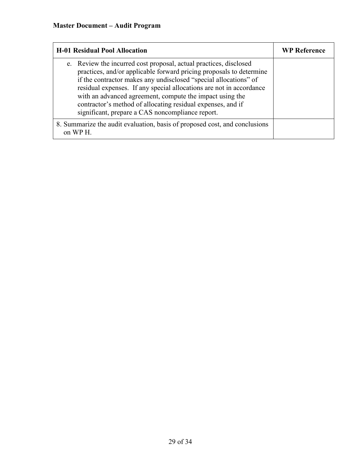| <b>H-01 Residual Pool Allocation</b>                                                                                                                                                                                                                                                                                                                                                                                                                               | <b>WP Reference</b> |
|--------------------------------------------------------------------------------------------------------------------------------------------------------------------------------------------------------------------------------------------------------------------------------------------------------------------------------------------------------------------------------------------------------------------------------------------------------------------|---------------------|
| e. Review the incurred cost proposal, actual practices, disclosed<br>practices, and/or applicable forward pricing proposals to determine<br>if the contractor makes any undisclosed "special allocations" of<br>residual expenses. If any special allocations are not in accordance<br>with an advanced agreement, compute the impact using the<br>contractor's method of allocating residual expenses, and if<br>significant, prepare a CAS noncompliance report. |                     |
| 8. Summarize the audit evaluation, basis of proposed cost, and conclusions<br>on WP H.                                                                                                                                                                                                                                                                                                                                                                             |                     |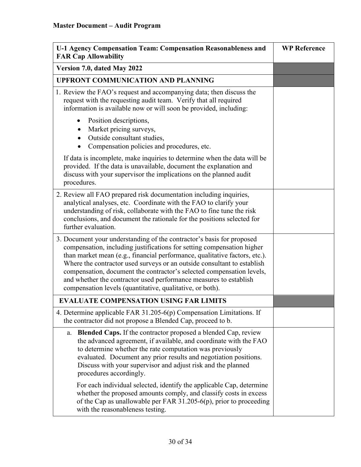| U-1 Agency Compensation Team: Compensation Reasonableness and<br><b>FAR Cap Allowability</b>                                                                                                                                                                                                                                                                                                                                                                                                                        | <b>WP Reference</b> |
|---------------------------------------------------------------------------------------------------------------------------------------------------------------------------------------------------------------------------------------------------------------------------------------------------------------------------------------------------------------------------------------------------------------------------------------------------------------------------------------------------------------------|---------------------|
| Version 7.0, dated May 2022                                                                                                                                                                                                                                                                                                                                                                                                                                                                                         |                     |
| <b>UPFRONT COMMUNICATION AND PLANNING</b>                                                                                                                                                                                                                                                                                                                                                                                                                                                                           |                     |
| 1. Review the FAO's request and accompanying data; then discuss the<br>request with the requesting audit team. Verify that all required<br>information is available now or will soon be provided, including:                                                                                                                                                                                                                                                                                                        |                     |
| Position descriptions,<br>$\bullet$<br>Market pricing surveys,<br>$\bullet$<br>Outside consultant studies,<br>Compensation policies and procedures, etc.                                                                                                                                                                                                                                                                                                                                                            |                     |
| If data is incomplete, make inquiries to determine when the data will be<br>provided. If the data is unavailable, document the explanation and<br>discuss with your supervisor the implications on the planned audit<br>procedures.                                                                                                                                                                                                                                                                                 |                     |
| 2. Review all FAO prepared risk documentation including inquiries,<br>analytical analyses, etc. Coordinate with the FAO to clarify your<br>understanding of risk, collaborate with the FAO to fine tune the risk<br>conclusions, and document the rationale for the positions selected for<br>further evaluation.                                                                                                                                                                                                   |                     |
| 3. Document your understanding of the contractor's basis for proposed<br>compensation, including justifications for setting compensation higher<br>than market mean (e.g., financial performance, qualitative factors, etc.).<br>Where the contractor used surveys or an outside consultant to establish<br>compensation, document the contractor's selected compensation levels,<br>and whether the contractor used performance measures to establish<br>compensation levels (quantitative, qualitative, or both). |                     |
| <b>EVALUATE COMPENSATION USING FAR LIMITS</b>                                                                                                                                                                                                                                                                                                                                                                                                                                                                       |                     |
| 4. Determine applicable FAR 31.205-6(p) Compensation Limitations. If<br>the contractor did not propose a Blended Cap, proceed to b.                                                                                                                                                                                                                                                                                                                                                                                 |                     |
| <b>Blended Caps.</b> If the contractor proposed a blended Cap, review<br>a.<br>the advanced agreement, if available, and coordinate with the FAO<br>to determine whether the rate computation was previously<br>evaluated. Document any prior results and negotiation positions.<br>Discuss with your supervisor and adjust risk and the planned<br>procedures accordingly.                                                                                                                                         |                     |
| For each individual selected, identify the applicable Cap, determine<br>whether the proposed amounts comply, and classify costs in excess<br>of the Cap as unallowable per FAR 31.205-6(p), prior to proceeding<br>with the reasonableness testing.                                                                                                                                                                                                                                                                 |                     |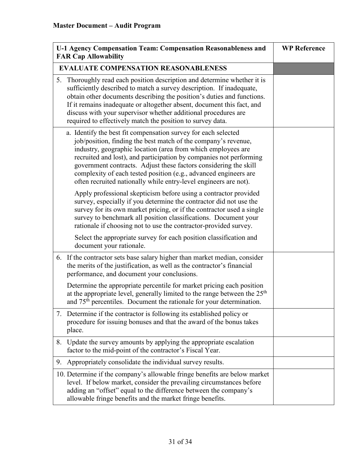|                                             | U-1 Agency Compensation Team: Compensation Reasonableness and<br><b>FAR Cap Allowability</b>                                                                                                                                                                                                                                                                                                                                                                                       | <b>WP Reference</b> |
|---------------------------------------------|------------------------------------------------------------------------------------------------------------------------------------------------------------------------------------------------------------------------------------------------------------------------------------------------------------------------------------------------------------------------------------------------------------------------------------------------------------------------------------|---------------------|
| <b>EVALUATE COMPENSATION REASONABLENESS</b> |                                                                                                                                                                                                                                                                                                                                                                                                                                                                                    |                     |
| 5.                                          | Thoroughly read each position description and determine whether it is<br>sufficiently described to match a survey description. If inadequate,<br>obtain other documents describing the position's duties and functions.<br>If it remains inadequate or altogether absent, document this fact, and<br>discuss with your supervisor whether additional procedures are<br>required to effectively match the position to survey data.                                                  |                     |
|                                             | a. Identify the best fit compensation survey for each selected<br>job/position, finding the best match of the company's revenue,<br>industry, geographic location (area from which employees are<br>recruited and lost), and participation by companies not performing<br>government contracts. Adjust these factors considering the skill<br>complexity of each tested position (e.g., advanced engineers are<br>often recruited nationally while entry-level engineers are not). |                     |
|                                             | Apply professional skepticism before using a contractor provided<br>survey, especially if you determine the contractor did not use the<br>survey for its own market pricing, or if the contractor used a single<br>survey to benchmark all position classifications. Document your<br>rationale if choosing not to use the contractor-provided survey.                                                                                                                             |                     |
|                                             | Select the appropriate survey for each position classification and<br>document your rationale.                                                                                                                                                                                                                                                                                                                                                                                     |                     |
|                                             | 6. If the contractor sets base salary higher than market median, consider<br>the merits of the justification, as well as the contractor's financial<br>performance, and document your conclusions.                                                                                                                                                                                                                                                                                 |                     |
|                                             | Determine the appropriate percentile for market pricing each position<br>at the appropriate level, generally limited to the range between the 25 <sup>th</sup><br>and 75 <sup>th</sup> percentiles. Document the rationale for your determination.                                                                                                                                                                                                                                 |                     |
| 7.                                          | Determine if the contractor is following its established policy or<br>procedure for issuing bonuses and that the award of the bonus takes<br>place.                                                                                                                                                                                                                                                                                                                                |                     |
|                                             | 8. Update the survey amounts by applying the appropriate escalation<br>factor to the mid-point of the contractor's Fiscal Year.                                                                                                                                                                                                                                                                                                                                                    |                     |
| 9.                                          | Appropriately consolidate the individual survey results.                                                                                                                                                                                                                                                                                                                                                                                                                           |                     |
|                                             | 10. Determine if the company's allowable fringe benefits are below market<br>level. If below market, consider the prevailing circumstances before<br>adding an "offset" equal to the difference between the company's<br>allowable fringe benefits and the market fringe benefits.                                                                                                                                                                                                 |                     |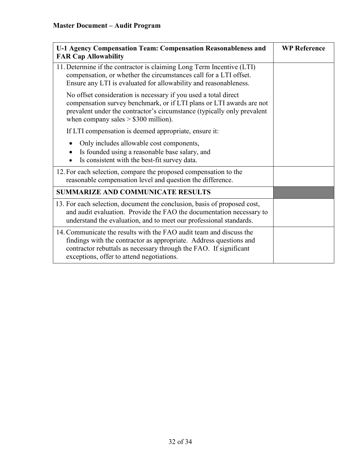| U-1 Agency Compensation Team: Compensation Reasonableness and<br><b>FAR Cap Allowability</b>                                                                                                                                                                | <b>WP Reference</b> |
|-------------------------------------------------------------------------------------------------------------------------------------------------------------------------------------------------------------------------------------------------------------|---------------------|
| 11. Determine if the contractor is claiming Long Term Incentive (LTI)<br>compensation, or whether the circumstances call for a LTI offset.<br>Ensure any LTI is evaluated for allowability and reasonableness.                                              |                     |
| No offset consideration is necessary if you used a total direct<br>compensation survey benchmark, or if LTI plans or LTI awards are not<br>prevalent under the contractor's circumstance (typically only prevalent<br>when company sales $> $300$ million). |                     |
| If LTI compensation is deemed appropriate, ensure it:                                                                                                                                                                                                       |                     |
| Only includes allowable cost components,<br>Is founded using a reasonable base salary, and<br>Is consistent with the best-fit survey data.                                                                                                                  |                     |
| 12. For each selection, compare the proposed compensation to the<br>reasonable compensation level and question the difference.                                                                                                                              |                     |
| <b>SUMMARIZE AND COMMUNICATE RESULTS</b>                                                                                                                                                                                                                    |                     |
| 13. For each selection, document the conclusion, basis of proposed cost,<br>and audit evaluation. Provide the FAO the documentation necessary to<br>understand the evaluation, and to meet our professional standards.                                      |                     |
| 14. Communicate the results with the FAO audit team and discuss the<br>findings with the contractor as appropriate. Address questions and<br>contractor rebuttals as necessary through the FAO. If significant<br>exceptions, offer to attend negotiations. |                     |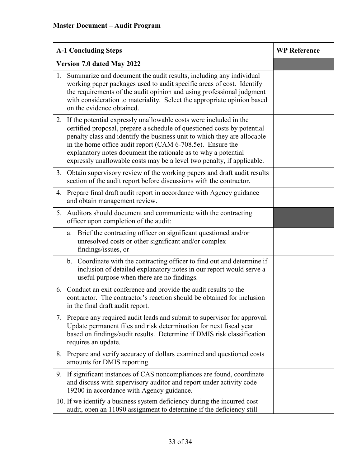| <b>A-1 Concluding Steps</b>                                                                                                                                                                                                                                                                                                                                                                                                           | <b>WP Reference</b> |
|---------------------------------------------------------------------------------------------------------------------------------------------------------------------------------------------------------------------------------------------------------------------------------------------------------------------------------------------------------------------------------------------------------------------------------------|---------------------|
| Version 7.0 dated May 2022                                                                                                                                                                                                                                                                                                                                                                                                            |                     |
| Summarize and document the audit results, including any individual<br>1.<br>working paper packages used to audit specific areas of cost. Identify<br>the requirements of the audit opinion and using professional judgment<br>with consideration to materiality. Select the appropriate opinion based<br>on the evidence obtained.                                                                                                    |                     |
| 2. If the potential expressly unallowable costs were included in the<br>certified proposal, prepare a schedule of questioned costs by potential<br>penalty class and identify the business unit to which they are allocable<br>in the home office audit report (CAM 6-708.5e). Ensure the<br>explanatory notes document the rationale as to why a potential<br>expressly unallowable costs may be a level two penalty, if applicable. |                     |
| Obtain supervisory review of the working papers and draft audit results<br>3.<br>section of the audit report before discussions with the contractor.                                                                                                                                                                                                                                                                                  |                     |
| 4. Prepare final draft audit report in accordance with Agency guidance<br>and obtain management review.                                                                                                                                                                                                                                                                                                                               |                     |
| Auditors should document and communicate with the contracting<br>5.<br>officer upon completion of the audit:                                                                                                                                                                                                                                                                                                                          |                     |
| Brief the contracting officer on significant questioned and/or<br>a.<br>unresolved costs or other significant and/or complex<br>findings/issues, or                                                                                                                                                                                                                                                                                   |                     |
| b. Coordinate with the contracting officer to find out and determine if<br>inclusion of detailed explanatory notes in our report would serve a<br>useful purpose when there are no findings.                                                                                                                                                                                                                                          |                     |
| 6. Conduct an exit conference and provide the audit results to the<br>contractor. The contractor's reaction should be obtained for inclusion<br>in the final draft audit report.                                                                                                                                                                                                                                                      |                     |
| Prepare any required audit leads and submit to supervisor for approval.<br>7.<br>Update permanent files and risk determination for next fiscal year<br>based on findings/audit results. Determine if DMIS risk classification<br>requires an update.                                                                                                                                                                                  |                     |
| 8.<br>Prepare and verify accuracy of dollars examined and questioned costs<br>amounts for DMIS reporting.                                                                                                                                                                                                                                                                                                                             |                     |
| If significant instances of CAS noncompliances are found, coordinate<br>9.<br>and discuss with supervisory auditor and report under activity code<br>19200 in accordance with Agency guidance.                                                                                                                                                                                                                                        |                     |
| 10. If we identify a business system deficiency during the incurred cost<br>audit, open an 11090 assignment to determine if the deficiency still                                                                                                                                                                                                                                                                                      |                     |